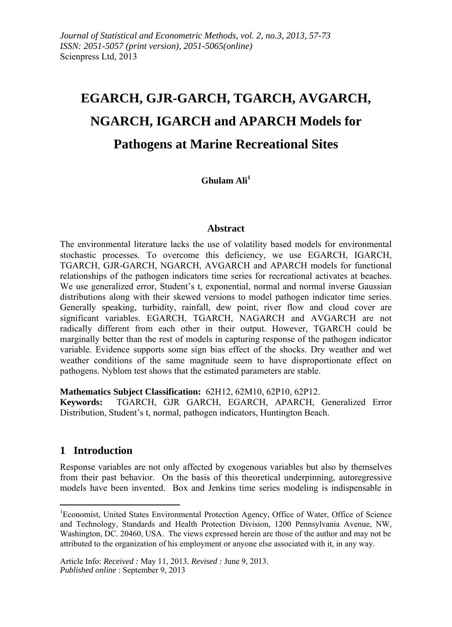# **EGARCH, GJR-GARCH, TGARCH, AVGARCH, NGARCH, IGARCH and APARCH Models for Pathogens at Marine Recreational Sites**

**Ghulam Ali<sup>1</sup>**

#### **Abstract**

The environmental literature lacks the use of volatility based models for environmental stochastic processes. To overcome this deficiency, we use EGARCH, IGARCH, TGARCH, GJR-GARCH, NGARCH, AVGARCH and APARCH models for functional relationships of the pathogen indicators time series for recreational activates at beaches. We use generalized error, Student's t, exponential, normal and normal inverse Gaussian distributions along with their skewed versions to model pathogen indicator time series. Generally speaking, turbidity, rainfall, dew point, river flow and cloud cover are significant variables. EGARCH, TGARCH, NAGARCH and AVGARCH are not radically different from each other in their output. However, TGARCH could be marginally better than the rest of models in capturing response of the pathogen indicator variable. Evidence supports some sign bias effect of the shocks. Dry weather and wet weather conditions of the same magnitude seem to have disproportionate effect on pathogens. Nyblom test shows that the estimated parameters are stable.

**Mathematics Subject Classification:** 62H12, 62M10, 62P10, 62P12.

**Keywords:** TGARCH, GJR GARCH, EGARCH, APARCH, Generalized Error Distribution, Student's t, normal, pathogen indicators, Huntington Beach.

# **1 Introduction**

-

Response variables are not only affected by exogenous variables but also by themselves from their past behavior. On the basis of this theoretical underpinning, autoregressive models have been invented. Box and Jenkins time series modeling is indispensable in

<sup>&</sup>lt;sup>1</sup>Economist, United States Environmental Protection Agency, Office of Water, Office of Science and Technology, Standards and Health Protection Division, 1200 Pennsylvania Avenue, NW, Washington, DC. 20460, USA. The views expressed herein are those of the author and may not be attributed to the organization of his employment or anyone else associated with it, in any way.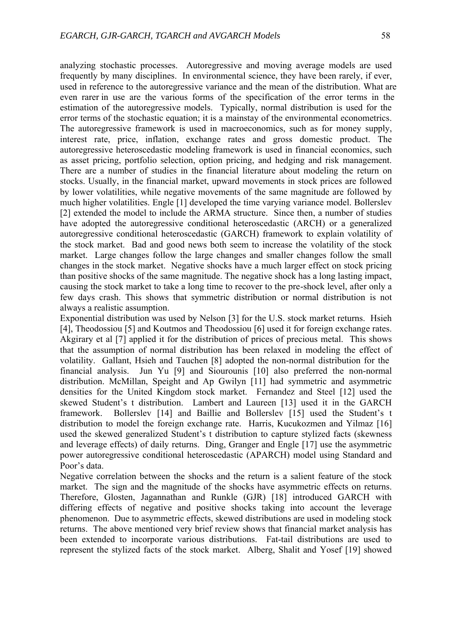analyzing stochastic processes. Autoregressive and moving average models are used frequently by many disciplines. In environmental science, they have been rarely, if ever, used in reference to the autoregressive variance and the mean of the distribution. What are even rarer in use are the various forms of the specification of the error terms in the estimation of the autoregressive models. Typically, normal distribution is used for the error terms of the stochastic equation; it is a mainstay of the environmental econometrics. The autoregressive framework is used in macroeconomics, such as for money supply, interest rate, price, inflation, exchange rates and gross domestic product. The autoregressive heteroscedastic modeling framework is used in financial economics, such as asset pricing, portfolio selection, option pricing, and hedging and risk management. There are a number of studies in the financial literature about modeling the return on stocks. Usually, in the financial market, upward movements in stock prices are followed by lower volatilities, while negative movements of the same magnitude are followed by much higher volatilities. Engle [1] developed the time varying variance model. Bollerslev [2] extended the model to include the ARMA structure. Since then, a number of studies have adopted the autoregressive conditional heteroscedastic (ARCH) or a generalized autoregressive conditional heteroscedastic (GARCH) framework to explain volatility of the stock market. Bad and good news both seem to increase the volatility of the stock market. Large changes follow the large changes and smaller changes follow the small changes in the stock market. Negative shocks have a much larger effect on stock pricing than positive shocks of the same magnitude. The negative shock has a long lasting impact,

causing the stock market to take a long time to recover to the pre-shock level, after only a few days crash. This shows that symmetric distribution or normal distribution is not always a realistic assumption.

Exponential distribution was used by Nelson [3] for the U.S. stock market returns. Hsieh [4], Theodossiou [5] and Koutmos and Theodossiou [6] used it for foreign exchange rates. Akgirary et al [7] applied it for the distribution of prices of precious metal. This shows that the assumption of normal distribution has been relaxed in modeling the effect of volatility. Gallant, Hsieh and Tauchen [8] adopted the non-normal distribution for the financial analysis. Jun Yu [9] and Siourounis [10] also preferred the non-normal distribution. McMillan, Speight and Ap Gwilyn [11] had symmetric and asymmetric densities for the United Kingdom stock market. Fernandez and Steel [12] used the skewed Student's t distribution. Lambert and Laureen [13] used it in the GARCH framework. Bollerslev [14] and Baillie and Bollerslev [15] used the Student's t distribution to model the foreign exchange rate. Harris, Kucukozmen and Yilmaz [16] used the skewed generalized Student's t distribution to capture stylized facts (skewness and leverage effects) of daily returns. Ding, Granger and Engle [17] use the asymmetric power autoregressive conditional heteroscedastic (APARCH) model using Standard and Poor's data.

Negative correlation between the shocks and the return is a salient feature of the stock market. The sign and the magnitude of the shocks have asymmetric effects on returns. Therefore, Glosten, Jagannathan and Runkle (GJR) [18] introduced GARCH with differing effects of negative and positive shocks taking into account the leverage phenomenon. Due to asymmetric effects, skewed distributions are used in modeling stock returns. The above mentioned very brief review shows that financial market analysis has been extended to incorporate various distributions. Fat-tail distributions are used to represent the stylized facts of the stock market. Alberg, Shalit and Yosef [19] showed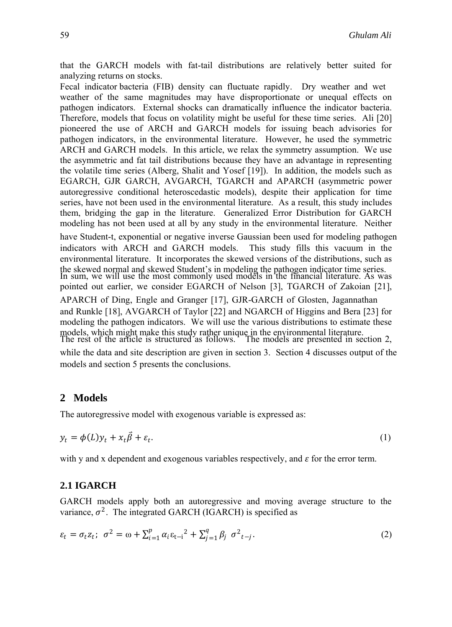that the GARCH models with fat-tail distributions are relatively better suited for analyzing returns on stocks.

Fecal indicator bacteria (FIB) density can fluctuate rapidly. Dry weather and wet weather of the same magnitudes may have disproportionate or unequal effects on pathogen indicators. External shocks can dramatically influence the indicator bacteria. Therefore, models that focus on volatility might be useful for these time series. Ali [20] pioneered the use of ARCH and GARCH models for issuing beach advisories for pathogen indicators, in the environmental literature. However, he used the symmetric ARCH and GARCH models. In this article, we relax the symmetry assumption. We use the asymmetric and fat tail distributions because they have an advantage in representing the volatile time series (Alberg, Shalit and Yosef [19]). In addition, the models such as EGARCH, GJR GARCH, AVGARCH, TGARCH and APARCH (asymmetric power autoregressive conditional heteroscedastic models), despite their application for time series, have not been used in the environmental literature. As a result, this study includes them, bridging the gap in the literature. Generalized Error Distribution for GARCH modeling has not been used at all by any study in the environmental literature. Neither have Student-t, exponential or negative inverse Gaussian been used for modeling pathogen indicators with ARCH and GARCH models. This study fills this vacuum in the environmental literature. It incorporates the skewed versions of the distributions, such as the skewed normal and skewed Student's in modeling the pathogen indicator time series. In sum, we will use the most commonly used models in the financial literature. As was pointed out earlier, we consider EGARCH of Nelson [3], TGARCH of Zakoian [21], APARCH of Ding, Engle and Granger [17], GJR-GARCH of Glosten, Jagannathan and Runkle [18], AVGARCH of Taylor [22] and NGARCH of Higgins and Bera [23] for modeling the pathogen indicators. We will use the various distributions to estimate these models, which might make this study rather unique in the environmental literature. The rest of the article is structured as follows. The models are presented in section 2,

while the data and site description are given in section 3. Section 4 discusses output of the models and section 5 presents the conclusions.

# **2 Models**

The autoregressive model with exogenous variable is expressed as:

$$
y_t = \phi(L)y_t + x_t \vec{\beta} + \varepsilon_t. \tag{1}
$$

with y and x dependent and exogenous variables respectively, and  $\varepsilon$  for the error term.

## **2.1 IGARCH**

GARCH models apply both an autoregressive and moving average structure to the variance,  $\sigma^2$ . The integrated GARCH (IGARCH) is specified as

$$
\varepsilon_{t} = \sigma_{t} z_{t}; \ \sigma^{2} = \omega + \sum_{i=1}^{p} \alpha_{i} \varepsilon_{t-i}^{2} + \sum_{j=1}^{q} \beta_{j} \ \sigma^{2}{}_{t-j}.
$$
 (2)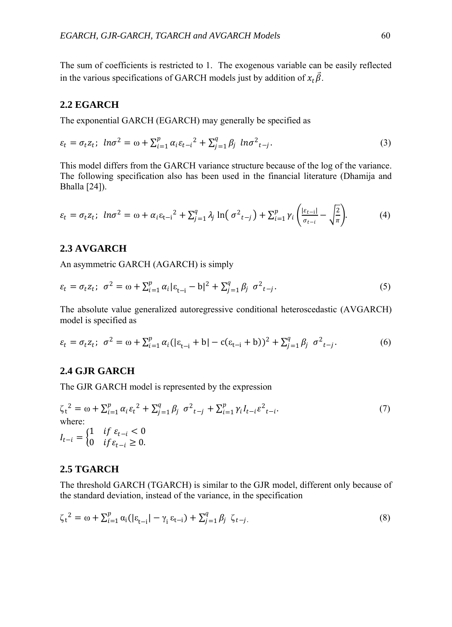The sum of coefficients is restricted to 1. The exogenous variable can be easily reflected in the various specifications of GARCH models just by addition of  $x_t \overline{\beta}$ .

#### **2.2 EGARCH**

The exponential GARCH (EGARCH) may generally be specified as

$$
\varepsilon_t = \sigma_t z_t; \ \ln \sigma^2 = \omega + \sum_{i=1}^p \alpha_i \varepsilon_{t-i}^2 + \sum_{j=1}^q \beta_j \ \ln \sigma^2_{t-j}.
$$

This model differs from the GARCH variance structure because of the log of the variance. The following specification also has been used in the financial literature (Dhamija and Bhalla [24]).

$$
\varepsilon_t = \sigma_t z_t; \ \ln \sigma^2 = \omega + \alpha_i \varepsilon_{t-i}^2 + \sum_{j=1}^q \lambda_j \ln(\sigma^2_{t-j}) + \sum_{i=1}^p \gamma_i \left( \frac{|\varepsilon_{t-i}|}{\sigma_{t-i}} - \sqrt{\frac{2}{\pi}} \right). \tag{4}
$$

# **2.3 AVGARCH**

An asymmetric GARCH (AGARCH) is simply

$$
\varepsilon_t = \sigma_t z_t; \ \sigma^2 = \omega + \sum_{i=1}^p \alpha_i |\varepsilon_{t-i} - b|^2 + \sum_{j=1}^q \beta_j \ \sigma^2_{t-j}.
$$
 (5)

The absolute value generalized autoregressive conditional heteroscedastic (AVGARCH) model is specified as

$$
\varepsilon_t = \sigma_t z_t; \ \sigma^2 = \omega + \sum_{i=1}^p \alpha_i (|\varepsilon_{t-i} + b| - c(\varepsilon_{t-i} + b))^2 + \sum_{j=1}^q \beta_j \ \sigma^2_{t-j}.
$$
 (6)

## **2.4 GJR GARCH**

The GJR GARCH model is represented by the expression

$$
\zeta_{t}^{2} = \omega + \sum_{i=1}^{p} \alpha_{i} \varepsilon_{t}^{2} + \sum_{j=1}^{q} \beta_{j} \sigma^{2}{}_{t-j} + \sum_{i=1}^{p} \gamma_{i} I_{t-i} \varepsilon^{2}{}_{t-i}.
$$
\nwhere:  
\n
$$
I_{t-i} = \begin{cases} 1 & \text{if } \varepsilon_{t-i} < 0 \\ 0 & \text{if } \varepsilon_{t-i} \geq 0. \end{cases}
$$
\n(7)

## **2.5 TGARCH**

The threshold GARCH (TGARCH) is similar to the GJR model, different only because of the standard deviation, instead of the variance, in the specification

$$
\zeta_{t}^{2} = \omega + \sum_{i=1}^{p} \alpha_{i} (|\varepsilon_{t-i}| - \gamma_{i} \varepsilon_{t-i}) + \sum_{j=1}^{q} \beta_{j} \zeta_{t-j}.
$$
\n(8)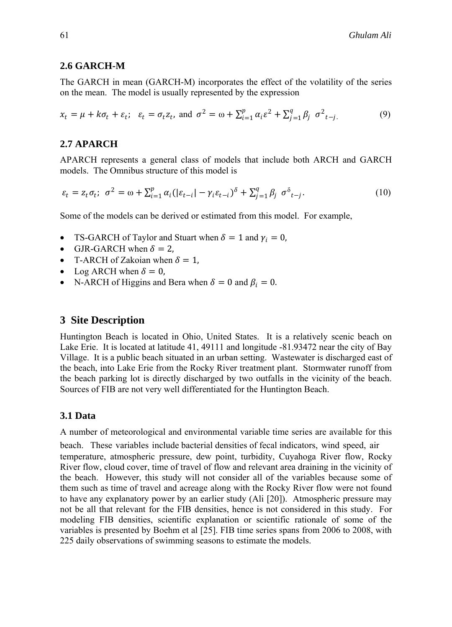## **2.6 GARCH-M**

The GARCH in mean (GARCH-M) incorporates the effect of the volatility of the series on the mean. The model is usually represented by the expression

$$
x_t = \mu + k\sigma_t + \varepsilon_t; \quad \varepsilon_t = \sigma_t z_t, \text{ and } \sigma^2 = \omega + \sum_{i=1}^p \alpha_i \varepsilon^2 + \sum_{j=1}^q \beta_j \sigma^2_{t-j}.
$$
 (9)

#### **2.7 APARCH**

APARCH represents a general class of models that include both ARCH and GARCH models. The Omnibus structure of this model is

$$
\varepsilon_t = z_t \sigma_t; \ \sigma^2 = \omega + \sum_{i=1}^p \alpha_i (|\varepsilon_{t-i}| - \gamma_i \varepsilon_{t-i})^\delta + \sum_{j=1}^q \beta_j \ \sigma^\delta_{t-j}.
$$
 (10)

Some of the models can be derived or estimated from this model. For example,

- TS-GARCH of Taylor and Stuart when  $\delta = 1$  and  $\gamma_i = 0$ ,
- GJR-GARCH when  $\delta = 2$ ,
- T-ARCH of Zakoian when  $\delta = 1$ ,
- Log ARCH when  $\delta = 0$ ,
- N-ARCH of Higgins and Bera when  $\delta = 0$  and  $\beta_i = 0$ .

#### **3 Site Description**

Huntington Beach is located in Ohio, United States. It is a relatively scenic beach on Lake Erie. It is located at latitude 41, 49111 and longitude -81.93472 near the city of Bay Village. It is a public beach situated in an urban setting. Wastewater is discharged east of the beach, into Lake Erie from the Rocky River treatment plant. Stormwater runoff from the beach parking lot is directly discharged by two outfalls in the vicinity of the beach. Sources of FIB are not very well differentiated for the Huntington Beach.

#### **3.1 Data**

A number of meteorological and environmental variable time series are available for this

beach. These variables include bacterial densities of fecal indicators, wind speed, air temperature, atmospheric pressure, dew point, turbidity, Cuyahoga River flow, Rocky River flow, cloud cover, time of travel of flow and relevant area draining in the vicinity of the beach. However, this study will not consider all of the variables because some of them such as time of travel and acreage along with the Rocky River flow were not found to have any explanatory power by an earlier study (Ali [20]). Atmospheric pressure may not be all that relevant for the FIB densities, hence is not considered in this study. For modeling FIB densities, scientific explanation or scientific rationale of some of the variables is presented by Boehm et al [25]. FIB time series spans from 2006 to 2008, with 225 daily observations of swimming seasons to estimate the models.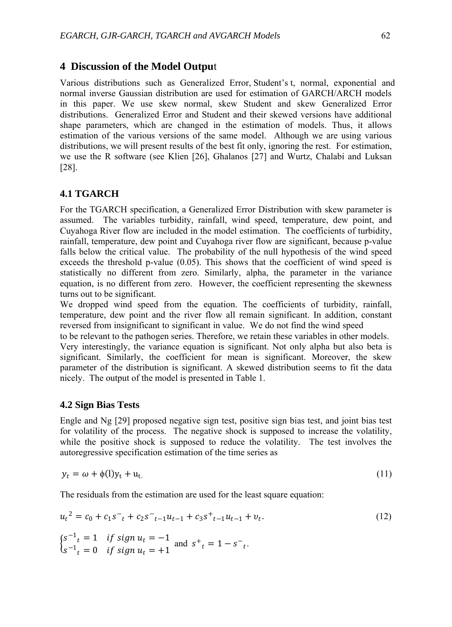# **4 Discussion of the Model Outpu**t

Various distributions such as Generalized Error, Student's t, normal, exponential and normal inverse Gaussian distribution are used for estimation of GARCH/ARCH models in this paper. We use skew normal, skew Student and skew Generalized Error distributions. Generalized Error and Student and their skewed versions have additional shape parameters, which are changed in the estimation of models. Thus, it allows estimation of the various versions of the same model. Although we are using various distributions, we will present results of the best fit only, ignoring the rest. For estimation, we use the R software (see Klien [26], Ghalanos [27] and Wurtz, Chalabi and Luksan [28].

## **4.1 TGARCH**

For the TGARCH specification, a Generalized Error Distribution with skew parameter is assumed. The variables turbidity, rainfall, wind speed, temperature, dew point, and Cuyahoga River flow are included in the model estimation. The coefficients of turbidity, rainfall, temperature, dew point and Cuyahoga river flow are significant, because p-value falls below the critical value. The probability of the null hypothesis of the wind speed exceeds the threshold p-value (0.05). This shows that the coefficient of wind speed is statistically no different from zero. Similarly, alpha, the parameter in the variance equation, is no different from zero. However, the coefficient representing the skewness turns out to be significant.

We dropped wind speed from the equation. The coefficients of turbidity, rainfall, temperature, dew point and the river flow all remain significant. In addition, constant reversed from insignificant to significant in value. We do not find the wind speed

to be relevant to the pathogen series. Therefore, we retain these variables in other models. Very interestingly, the variance equation is significant. Not only alpha but also beta is significant. Similarly, the coefficient for mean is significant. Moreover, the skew parameter of the distribution is significant. A skewed distribution seems to fit the data nicely. The output of the model is presented in Table 1.

#### **4.2 Sign Bias Tests**

Engle and Ng [29] proposed negative sign test, positive sign bias test, and joint bias test for volatility of the process. The negative shock is supposed to increase the volatility, while the positive shock is supposed to reduce the volatility. The test involves the autoregressive specification estimation of the time series as

$$
y_t = \omega + \phi(1)y_t + u_t. \tag{11}
$$

The residuals from the estimation are used for the least square equation:

$$
u_t^2 = c_0 + c_1 s^-_t + c_2 s^-_{t-1} u_{t-1} + c_3 s^+_{t-1} u_{t-1} + v_t.
$$
  
\n
$$
\begin{cases}\ns^{-1}t = 1 & \text{if sign } u_t = -1 \\
s^{-1}t = 0 & \text{if sign } u_t = +1\n\end{cases}
$$
 and  $s^+_{t} = 1 - s^-_{t}.$  (12)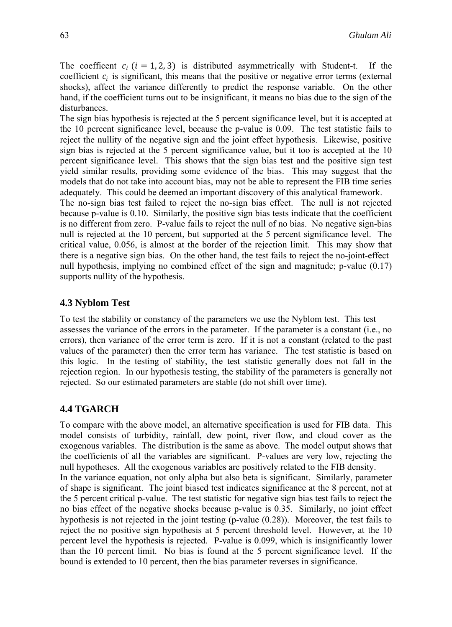The coefficent  $c_i$  ( $i = 1, 2, 3$ ) is distributed asymmetrically with Student-t. If the coefficient  $c_i$  is significant, this means that the positive or negative error terms (external shocks), affect the variance differently to predict the response variable. On the other hand, if the coefficient turns out to be insignificant, it means no bias due to the sign of the disturbances.

The sign bias hypothesis is rejected at the 5 percent significance level, but it is accepted at the 10 percent significance level, because the p-value is 0.09. The test statistic fails to reject the nullity of the negative sign and the joint effect hypothesis. Likewise, positive sign bias is rejected at the 5 percent significance value, but it too is accepted at the 10 percent significance level. This shows that the sign bias test and the positive sign test yield similar results, providing some evidence of the bias. This may suggest that the models that do not take into account bias, may not be able to represent the FIB time series adequately. This could be deemed an important discovery of this analytical framework.

The no-sign bias test failed to reject the no-sign bias effect. The null is not rejected because p-value is 0.10. Similarly, the positive sign bias tests indicate that the coefficient is no different from zero. P-value fails to reject the null of no bias. No negative sign-bias null is rejected at the 10 percent, but supported at the 5 percent significance level. The critical value, 0.056, is almost at the border of the rejection limit. This may show that there is a negative sign bias. On the other hand, the test fails to reject the no-joint-effect null hypothesis, implying no combined effect of the sign and magnitude; p-value (0.17) supports nullity of the hypothesis.

## **4.3 Nyblom Test**

To test the stability or constancy of the parameters we use the Nyblom test. This test assesses the variance of the errors in the parameter. If the parameter is a constant (i.e., no errors), then variance of the error term is zero. If it is not a constant (related to the past values of the parameter) then the error term has variance. The test statistic is based on this logic. In the testing of stability, the test statistic generally does not fall in the rejection region. In our hypothesis testing, the stability of the parameters is generally not rejected. So our estimated parameters are stable (do not shift over time).

## **4.4 TGARCH**

To compare with the above model, an alternative specification is used for FIB data. This model consists of turbidity, rainfall, dew point, river flow, and cloud cover as the exogenous variables. The distribution is the same as above. The model output shows that the coefficients of all the variables are significant. P-values are very low, rejecting the null hypotheses. All the exogenous variables are positively related to the FIB density.

In the variance equation, not only alpha but also beta is significant. Similarly, parameter of shape is significant. The joint biased test indicates significance at the 8 percent, not at the 5 percent critical p-value. The test statistic for negative sign bias test fails to reject the no bias effect of the negative shocks because p-value is 0.35. Similarly, no joint effect hypothesis is not rejected in the joint testing (p-value (0.28)). Moreover, the test fails to reject the no positive sign hypothesis at 5 percent threshold level. However, at the 10 percent level the hypothesis is rejected. P-value is 0.099, which is insignificantly lower than the 10 percent limit. No bias is found at the 5 percent significance level. If the bound is extended to 10 percent, then the bias parameter reverses in significance.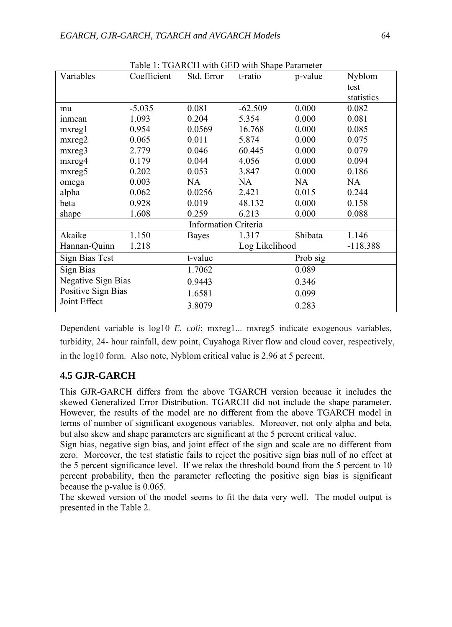|                           |             |                             | Table 1. I GARCH WHII GED WHII Shape Parameter |          |            |
|---------------------------|-------------|-----------------------------|------------------------------------------------|----------|------------|
| Variables                 | Coefficient | Std. Error                  | t-ratio                                        | p-value  | Nyblom     |
|                           |             |                             |                                                |          | test       |
|                           |             |                             |                                                |          | statistics |
| mu                        | $-5.035$    | 0.081                       | $-62.509$                                      | 0.000    | 0.082      |
| inmean                    | 1.093       | 0.204                       | 5.354                                          | 0.000    | 0.081      |
| $m$ xreg $1$              | 0.954       | 0.0569                      | 16.768                                         | 0.000    | 0.085      |
| $m$ <sub>x</sub> $reg2$   | 0.065       | 0.011                       | 5.874                                          | 0.000    | 0.075      |
| mxreg3                    | 2.779       | 0.046                       | 60.445                                         | 0.000    | 0.079      |
| mxreg4                    | 0.179       | 0.044                       | 4.056                                          | 0.000    | 0.094      |
| mxreg5                    | 0.202       | 0.053                       | 3.847                                          | 0.000    | 0.186      |
| omega                     | 0.003       | NA                          | NA                                             | NA       | NA         |
| alpha                     | 0.062       | 0.0256                      | 2.421                                          | 0.015    | 0.244      |
| beta                      | 0.928       | 0.019                       | 48.132                                         | 0.000    | 0.158      |
| shape                     | 1.608       | 0.259                       | 6.213                                          | 0.000    | 0.088      |
|                           |             | <b>Information Criteria</b> |                                                |          |            |
| Akaike                    | 1.150       | <b>Bayes</b>                | 1.317                                          | Shibata  | 1.146      |
| Hannan-Quinn              | 1.218       |                             | Log Likelihood                                 |          | $-118.388$ |
| Sign Bias Test            |             | t-value                     |                                                | Prob sig |            |
| Sign Bias                 |             | 1.7062                      |                                                | 0.089    |            |
| <b>Negative Sign Bias</b> |             | 0.9443                      |                                                | 0.346    |            |
| Positive Sign Bias        |             | 1.6581                      |                                                | 0.099    |            |
| Joint Effect              |             | 3.8079                      |                                                | 0.283    |            |

Table 1: TGARCH with GED with Shape Parameter

Dependent variable is log10 *E. coli*; mxreg1... mxreg5 indicate exogenous variables, turbidity, 24- hour rainfall, dew point, Cuyahoga River flow and cloud cover, respectively, in the log10 form. Also note, Nyblom critical value is 2.96 at 5 percent.

# **4.5 GJR-GARCH**

This GJR-GARCH differs from the above TGARCH version because it includes the skewed Generalized Error Distribution. TGARCH did not include the shape parameter. However, the results of the model are no different from the above TGARCH model in terms of number of significant exogenous variables. Moreover, not only alpha and beta, but also skew and shape parameters are significant at the 5 percent critical value.

Sign bias, negative sign bias, and joint effect of the sign and scale are no different from zero. Moreover, the test statistic fails to reject the positive sign bias null of no effect at the 5 percent significance level. If we relax the threshold bound from the 5 percent to 10 percent probability, then the parameter reflecting the positive sign bias is significant because the p-value is 0.065.

The skewed version of the model seems to fit the data very well. The model output is presented in the Table 2.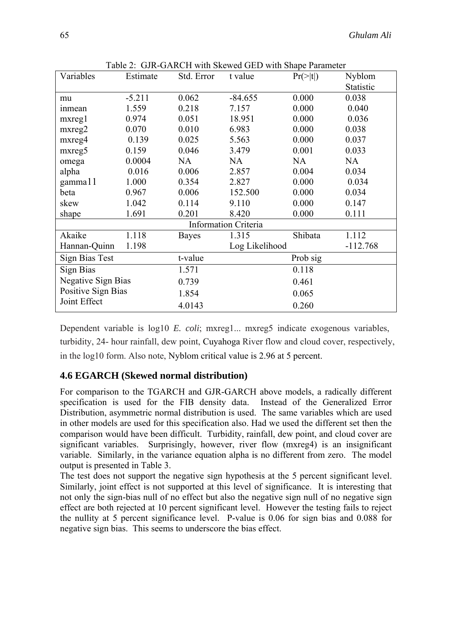| Variables                 | Estimate | Std. Error   | t value                     | $Pr(>\vert t \vert)$ | Nyblom           |
|---------------------------|----------|--------------|-----------------------------|----------------------|------------------|
|                           |          |              |                             |                      | <b>Statistic</b> |
| mu                        | $-5.211$ | 0.062        | $-84.655$                   | 0.000                | 0.038            |
| inmean                    | 1.559    | 0.218        | 7.157                       | 0.000                | 0.040            |
| $m$ xreg $1$              | 0.974    | 0.051        | 18.951                      | 0.000                | 0.036            |
| mxreg2                    | 0.070    | 0.010        | 6.983                       | 0.000                | 0.038            |
| mxreg4                    | 0.139    | 0.025        | 5.563                       | 0.000                | 0.037            |
| mxreg5                    | 0.159    | 0.046        | 3.479                       | 0.001                | 0.033            |
| omega                     | 0.0004   | NA           | NA                          | <b>NA</b>            | NA               |
| alpha                     | 0.016    | 0.006        | 2.857                       | 0.004                | 0.034            |
| gamma11                   | 1.000    | 0.354        | 2.827                       | 0.000                | 0.034            |
| beta                      | 0.967    | 0.006        | 152.500                     | 0.000                | 0.034            |
| skew                      | 1.042    | 0.114        | 9.110                       | 0.000                | 0.147            |
| shape                     | 1.691    | 0.201        | 8.420                       | 0.000                | 0.111            |
|                           |          |              | <b>Information Criteria</b> |                      |                  |
| Akaike                    | 1.118    | <b>Bayes</b> | 1.315                       | Shibata              | 1.112            |
| Hannan-Quinn              | 1.198    |              | Log Likelihood              |                      | $-112.768$       |
| Sign Bias Test            |          | t-value      |                             | Prob sig             |                  |
| Sign Bias                 |          | 1.571        |                             | 0.118                |                  |
| <b>Negative Sign Bias</b> |          | 0.739        |                             | 0.461                |                  |
| Positive Sign Bias        |          | 1.854        |                             | 0.065                |                  |
| Joint Effect              |          | 4.0143       |                             | 0.260                |                  |

Table 2: GJR-GARCH with Skewed GED with Shape Parameter

Dependent variable is log10 *E. coli*; mxreg1... mxreg5 indicate exogenous variables, turbidity, 24- hour rainfall, dew point, Cuyahoga River flow and cloud cover, respectively, in the log10 form. Also note, Nyblom critical value is 2.96 at 5 percent.

# **4.6 EGARCH (Skewed normal distribution)**

For comparison to the TGARCH and GJR-GARCH above models, a radically different specification is used for the FIB density data. Instead of the Generalized Error Distribution, asymmetric normal distribution is used. The same variables which are used in other models are used for this specification also. Had we used the different set then the comparison would have been difficult. Turbidity, rainfall, dew point, and cloud cover are significant variables. Surprisingly, however, river flow (mxreg4) is an insignificant variable. Similarly, in the variance equation alpha is no different from zero. The model output is presented in Table 3.

The test does not support the negative sign hypothesis at the 5 percent significant level. Similarly, joint effect is not supported at this level of significance. It is interesting that not only the sign-bias null of no effect but also the negative sign null of no negative sign effect are both rejected at 10 percent significant level. However the testing fails to reject the nullity at 5 percent significance level. P-value is 0.06 for sign bias and 0.088 for negative sign bias. This seems to underscore the bias effect.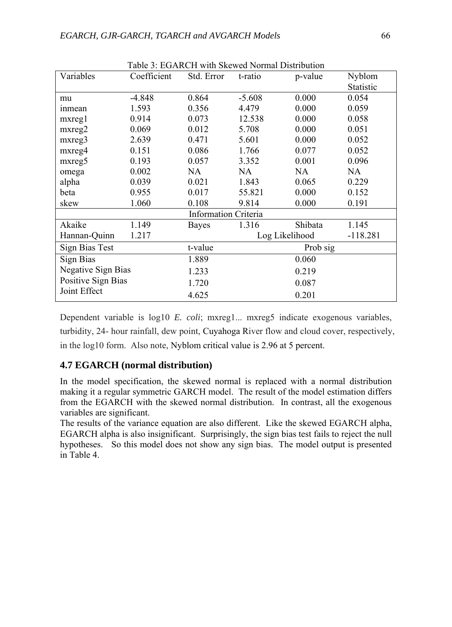| Table 3: EGARCH with Skewed Normal Distribution |             |                             |          |                |            |
|-------------------------------------------------|-------------|-----------------------------|----------|----------------|------------|
| Variables                                       | Coefficient | Std. Error                  | t-ratio  | p-value        | Nyblom     |
|                                                 |             |                             |          |                | Statistic  |
| mu                                              | $-4.848$    | 0.864                       | $-5.608$ | 0.000          | 0.054      |
| <i>inmean</i>                                   | 1.593       | 0.356                       | 4.479    | 0.000          | 0.059      |
| $m$ xreg $1$                                    | 0.914       | 0.073                       | 12.538   | 0.000          | 0.058      |
| $m$ xreg $2$                                    | 0.069       | 0.012                       | 5.708    | 0.000          | 0.051      |
| mxreg3                                          | 2.639       | 0.471                       | 5.601    | 0.000          | 0.052      |
| mxreg4                                          | 0.151       | 0.086                       | 1.766    | 0.077          | 0.052      |
| mxreg5                                          | 0.193       | 0.057                       | 3.352    | 0.001          | 0.096      |
| omega                                           | 0.002       | NA                          | NA       | NA.            | NA         |
| alpha                                           | 0.039       | 0.021                       | 1.843    | 0.065          | 0.229      |
| beta                                            | 0.955       | 0.017                       | 55.821   | 0.000          | 0.152      |
| skew                                            | 1.060       | 0.108                       | 9.814    | 0.000          | 0.191      |
|                                                 |             | <b>Information Criteria</b> |          |                |            |
| Akaike                                          | 1.149       | <b>Bayes</b>                | 1.316    | Shibata        | 1.145      |
| Hannan-Quinn                                    | 1.217       |                             |          | Log Likelihood | $-118.281$ |
| <b>Sign Bias Test</b>                           |             | t-value                     |          | Prob sig       |            |
| Sign Bias                                       |             | 1.889                       | 0.060    |                |            |
| <b>Negative Sign Bias</b>                       |             | 1.233                       | 0.219    |                |            |
| Positive Sign Bias                              |             | 1.720                       | 0.087    |                |            |
| Joint Effect                                    |             | 4.625                       |          | 0.201          |            |

Dependent variable is log10 *E. coli*; mxreg1... mxreg5 indicate exogenous variables, turbidity, 24- hour rainfall, dew point, Cuyahoga River flow and cloud cover, respectively, in the log10 form. Also note, Nyblom critical value is 2.96 at 5 percent.

# **4.7 EGARCH (normal distribution)**

In the model specification, the skewed normal is replaced with a normal distribution making it a regular symmetric GARCH model. The result of the model estimation differs from the EGARCH with the skewed normal distribution. In contrast, all the exogenous variables are significant.

The results of the variance equation are also different. Like the skewed EGARCH alpha, EGARCH alpha is also insignificant. Surprisingly, the sign bias test fails to reject the null hypotheses. So this model does not show any sign bias. The model output is presented in Table 4.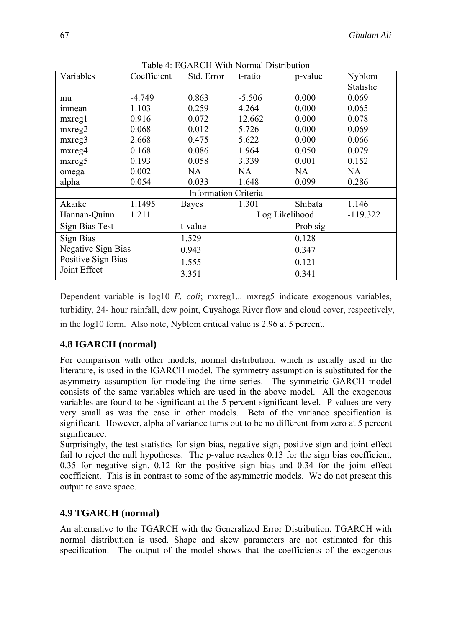| Variables                 | Coefficient | Std. Error                  | t-ratio        | p-value | Nyblom           |
|---------------------------|-------------|-----------------------------|----------------|---------|------------------|
|                           |             |                             |                |         | <b>Statistic</b> |
| mu                        | $-4.749$    | 0.863                       | $-5.506$       | 0.000   | 0.069            |
| <i>inmean</i>             | 1.103       | 0.259                       | 4.264          | 0.000   | 0.065            |
| mxregl                    | 0.916       | 0.072                       | 12.662         | 0.000   | 0.078            |
| $m$ <sub>x</sub> $reg2$   | 0.068       | 0.012                       | 5.726          | 0.000   | 0.069            |
| mxreg3                    | 2.668       | 0.475                       | 5.622          | 0.000   | 0.066            |
| mxreg4                    | 0.168       | 0.086                       | 1.964          | 0.050   | 0.079            |
| mxreg5                    | 0.193       | 0.058                       | 3.339          | 0.001   | 0.152            |
| omega                     | 0.002       | NA                          | NA.            | NA.     | <b>NA</b>        |
| alpha                     | 0.054       | 0.033                       | 1.648          | 0.099   | 0.286            |
|                           |             | <b>Information Criteria</b> |                |         |                  |
| Akaike                    | 1.1495      | <b>Bayes</b>                | 1.301          | Shibata | 1.146            |
| Hannan-Quinn              | 1.211       |                             | Log Likelihood |         | $-119.322$       |
| Sign Bias Test            |             | t-value                     | Prob sig       |         |                  |
| Sign Bias                 |             | 1.529                       | 0.128          |         |                  |
| <b>Negative Sign Bias</b> |             | 0.943                       | 0.347          |         |                  |
| Positive Sign Bias        |             | 1.555                       | 0.121          |         |                  |
| Joint Effect              |             | 3.351                       |                | 0.341   |                  |

Table 4: EGARCH With Normal Distribution

Dependent variable is log10 *E. coli*; mxreg1... mxreg5 indicate exogenous variables, turbidity, 24- hour rainfall, dew point, Cuyahoga River flow and cloud cover, respectively, in the log10 form. Also note, Nyblom critical value is 2.96 at 5 percent.

# **4.8 IGARCH (normal)**

For comparison with other models, normal distribution, which is usually used in the literature, is used in the IGARCH model. The symmetry assumption is substituted for the asymmetry assumption for modeling the time series. The symmetric GARCH model consists of the same variables which are used in the above model. All the exogenous variables are found to be significant at the 5 percent significant level. P-values are very very small as was the case in other models. Beta of the variance specification is significant. However, alpha of variance turns out to be no different from zero at 5 percent significance.

Surprisingly, the test statistics for sign bias, negative sign, positive sign and joint effect fail to reject the null hypotheses. The p-value reaches 0.13 for the sign bias coefficient, 0.35 for negative sign, 0.12 for the positive sign bias and 0.34 for the joint effect coefficient. This is in contrast to some of the asymmetric models. We do not present this output to save space.

# **4.9 TGARCH (normal)**

An alternative to the TGARCH with the Generalized Error Distribution, TGARCH with normal distribution is used. Shape and skew parameters are not estimated for this specification. The output of the model shows that the coefficients of the exogenous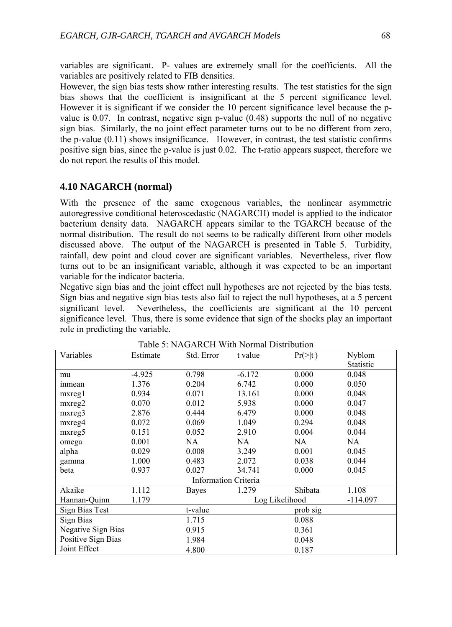variables are significant. P- values are extremely small for the coefficients. All the variables are positively related to FIB densities.

However, the sign bias tests show rather interesting results. The test statistics for the sign bias shows that the coefficient is insignificant at the 5 percent significance level. However it is significant if we consider the 10 percent significance level because the pvalue is 0.07. In contrast, negative sign p-value (0.48) supports the null of no negative sign bias. Similarly, the no joint effect parameter turns out to be no different from zero, the p-value (0.11) shows insignificance. However, in contrast, the test statistic confirms positive sign bias, since the p-value is just 0.02. The t-ratio appears suspect, therefore we do not report the results of this model.

## **4.10 NAGARCH (normal)**

With the presence of the same exogenous variables, the nonlinear asymmetric autoregressive conditional heteroscedastic (NAGARCH) model is applied to the indicator bacterium density data. NAGARCH appears similar to the TGARCH because of the normal distribution. The result do not seems to be radically different from other models discussed above. The output of the NAGARCH is presented in Table 5. Turbidity, rainfall, dew point and cloud cover are significant variables. Nevertheless, river flow turns out to be an insignificant variable, although it was expected to be an important variable for the indicator bacteria.

Negative sign bias and the joint effect null hypotheses are not rejected by the bias tests. Sign bias and negative sign bias tests also fail to reject the null hypotheses, at a 5 percent significant level. Nevertheless, the coefficients are significant at the 10 percent significance level. Thus, there is some evidence that sign of the shocks play an important role in predicting the variable.

| Variables               | Estimate | Std. Error                  | t value  | $Pr(>\vert t \vert)$ | Nyblom           |
|-------------------------|----------|-----------------------------|----------|----------------------|------------------|
|                         |          |                             |          |                      | <b>Statistic</b> |
| mu                      | $-4.925$ | 0.798                       | $-6.172$ | 0.000                | 0.048            |
| inmean                  | 1.376    | 0.204                       | 6.742    | 0.000                | 0.050            |
| $m$ <sub>x</sub> $reg1$ | 0.934    | 0.071                       | 13.161   | 0.000                | 0.048            |
| $m$ <sub>x</sub> $reg2$ | 0.070    | 0.012                       | 5.938    | 0.000                | 0.047            |
| mxreg3                  | 2.876    | 0.444                       | 6.479    | 0.000                | 0.048            |
| mxreg4                  | 0.072    | 0.069                       | 1.049    | 0.294                | 0.048            |
| mxreg5                  | 0.151    | 0.052                       | 2.910    | 0.004                | 0.044            |
| omega                   | 0.001    | NA                          | NA       | NA                   | NA.              |
| alpha                   | 0.029    | 0.008                       | 3.249    | 0.001                | 0.045            |
| gamma                   | 1.000    | 0.483                       | 2.072    | 0.038                | 0.044            |
| beta                    | 0.937    | 0.027                       | 34.741   | 0.000                | 0.045            |
|                         |          | <b>Information Criteria</b> |          |                      |                  |
| Akaike                  | 1.112    | Bayes                       | 1.279    | Shibata              | 1.108            |
| Hannan-Quinn            | 1.179    |                             |          | Log Likelihood       | $-114.097$       |
| Sign Bias Test          |          | t-value                     |          | prob sig             |                  |
| Sign Bias               |          | 1.715                       |          | 0.088                |                  |
| Negative Sign Bias      |          | 0.915                       |          | 0.361                |                  |
| Positive Sign Bias      |          | 1.984                       |          | 0.048                |                  |
| Joint Effect            |          | 4.800                       |          | 0.187                |                  |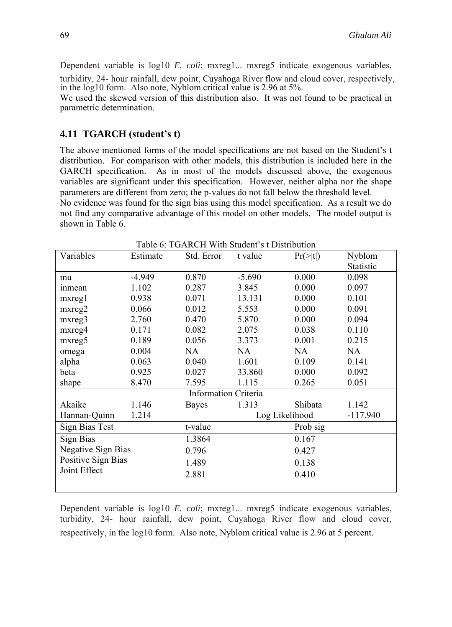Dependent variable is log10 *E. coli*; mxreg1... mxreg5 indicate exogenous variables, turbidity, 24- hour rainfall, dew point, Cuyahoga River flow and cloud cover, respectively,

in the log10 form. Also note, Nyblom critical value is 2.96 at 5%.

We used the skewed version of this distribution also. It was not found to be practical in parametric determination.

## **4.11 TGARCH (student's t)**

The above mentioned forms of the model specifications are not based on the Student's t distribution. For comparison with other models, this distribution is included here in the GARCH specification. As in most of the models discussed above, the exogenous variables are significant under this specification. However, neither alpha nor the shape parameters are different from zero; the p-values do not fall below the threshold level.

No evidence was found for the sign bias using this model specification. As a result we do not find any comparative advantage of this model on other models. The model output is shown in Table 6.

| Variables                 | Estimate | Std. Error                  | Tavic 0. TOARCH WHITDHAGHES EDISHIDUNDII<br>t value | $Pr(>\vert t \vert)$ | Nyblom     |
|---------------------------|----------|-----------------------------|-----------------------------------------------------|----------------------|------------|
|                           |          |                             |                                                     |                      | Statistic  |
| mu                        | $-4.949$ | 0.870                       | $-5.690$                                            | 0.000                | 0.098      |
| <i>inmean</i>             | 1.102    | 0.287                       | 3.845                                               | 0.000                | 0.097      |
| $m$ <sub>x</sub> $reg1$   | 0.938    | 0.071                       | 13.131                                              | 0.000                | 0.101      |
| mxreg2                    | 0.066    | 0.012                       | 5.553                                               | 0.000                | 0.091      |
| mxreg3                    | 2.760    | 0.470                       | 5.870                                               | 0.000                | 0.094      |
| mxreg4                    | 0.171    | 0.082                       | 2.075                                               | 0.038                | 0.110      |
| mxreg5                    | 0.189    | 0.056                       | 3.373                                               | 0.001                | 0.215      |
| omega                     | 0.004    | NA.                         | <b>NA</b>                                           | NA.                  | <b>NA</b>  |
| alpha                     | 0.063    | 0.040                       | 1.601                                               | 0.109                | 0.141      |
| beta                      | 0.925    | 0.027                       | 33.860                                              | 0.000                | 0.092      |
| shape                     | 8.470    | 7.595                       | 1.115                                               | 0.265                | 0.051      |
|                           |          | <b>Information Criteria</b> |                                                     |                      |            |
| Akaike                    | 1.146    | <b>Bayes</b>                | 1.313                                               | Shibata              | 1.142      |
| Hannan-Quinn              | 1.214    |                             | Log Likelihood                                      |                      | $-117.940$ |
| <b>Sign Bias Test</b>     |          | t-value                     |                                                     |                      |            |
| Sign Bias                 |          | 1.3864                      | 0.167                                               |                      |            |
| <b>Negative Sign Bias</b> |          | 0.796                       | 0.427                                               |                      |            |
| Positive Sign Bias        |          | 1.489                       | 0.138                                               |                      |            |
| Joint Effect              |          | 2.881                       |                                                     | 0.410                |            |
|                           |          |                             |                                                     |                      |            |

Table 6: TGARCH With Student's t Distribution

Dependent variable is log10 *E. coli*; mxreg1... mxreg5 indicate exogenous variables, turbidity, 24- hour rainfall, dew point, Cuyahoga River flow and cloud cover, respectively, in the log10 form. Also note, Nyblom critical value is 2.96 at 5 percent.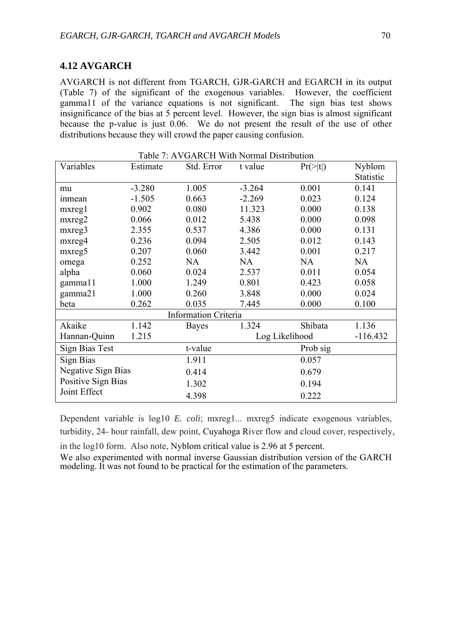## **4.12 AVGARCH**

AVGARCH is not different from TGARCH, GJR-GARCH and EGARCH in its output (Table 7) of the significant of the exogenous variables. However, the coefficient gamma11 of the variance equations is not significant. The sign bias test shows insignificance of the bias at 5 percent level. However, the sign bias is almost significant because the p-value is just 0.06. We do not present the result of the use of other distributions because they will crowd the paper causing confusion.

| Variables                 | Estimate | Std. Error                  | t value        | $Pr(>\vert t \vert)$ | Nyblom           |
|---------------------------|----------|-----------------------------|----------------|----------------------|------------------|
|                           |          |                             |                |                      | <b>Statistic</b> |
| mu                        | $-3.280$ | 1.005                       | $-3.264$       | 0.001                | 0.141            |
| inmean                    | $-1.505$ | 0.663                       | $-2.269$       | 0.023                | 0.124            |
| $m$ <sub>x</sub> $reg1$   | 0.902    | 0.080                       | 11.323         | 0.000                | 0.138            |
| mxreg2                    | 0.066    | 0.012                       | 5.438          | 0.000                | 0.098            |
| mxreg3                    | 2.355    | 0.537                       | 4.386          | 0.000                | 0.131            |
| mxreg4                    | 0.236    | 0.094                       | 2.505          | 0.012                | 0.143            |
| mxreg5                    | 0.207    | 0.060                       | 3.442          | 0.001                | 0.217            |
| omega                     | 0.252    | NA                          | NA             | NA                   | NA               |
| alpha                     | 0.060    | 0.024                       | 2.537          | 0.011                | 0.054            |
| gamma11                   | 1.000    | 1.249                       | 0.801          | 0.423                | 0.058            |
| gamma21                   | 1.000    | 0.260                       | 3.848          | 0.000                | 0.024            |
| beta                      | 0.262    | 0.035                       | 7.445          | 0.000                | 0.100            |
|                           |          | <b>Information Criteria</b> |                |                      |                  |
| Akaike                    | 1.142    | <b>Bayes</b>                | 1.324          | Shibata              | 1.136            |
| Hannan-Quinn              | 1.215    |                             | Log Likelihood |                      | $-116.432$       |
| Sign Bias Test            |          | t-value                     |                | Prob sig             |                  |
| Sign Bias                 |          | 1.911                       |                | 0.057                |                  |
| <b>Negative Sign Bias</b> |          | 0.414                       |                | 0.679                |                  |
| Positive Sign Bias        |          | 1.302                       |                | 0.194                |                  |
| Joint Effect              |          | 4.398                       |                | 0.222                |                  |

Table 7: AVGARCH With Normal Distribution

Dependent variable is log10 *E. coli*; mxreg1... mxreg5 indicate exogenous variables, turbidity, 24- hour rainfall, dew point, Cuyahoga River flow and cloud cover, respectively,

in the log10 form. Also note, Nyblom critical value is 2.96 at 5 percent.

We also experimented with normal inverse Gaussian distribution version of the GARCH modeling. It was not found to be practical for the estimation of the parameters.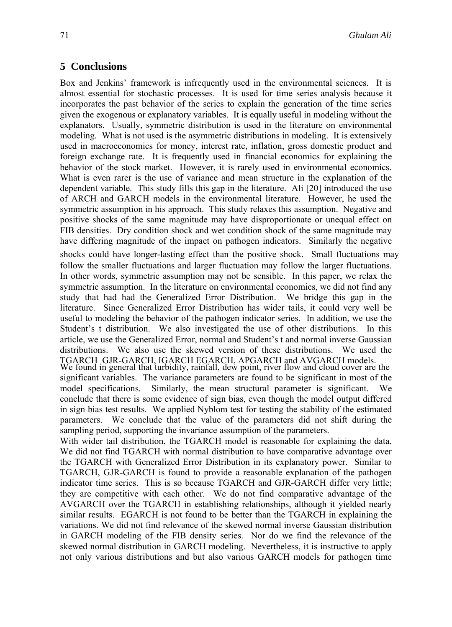# **5 Conclusions**

Box and Jenkins' framework is infrequently used in the environmental sciences. It is almost essential for stochastic processes. It is used for time series analysis because it incorporates the past behavior of the series to explain the generation of the time series given the exogenous or explanatory variables. It is equally useful in modeling without the explanators. Usually, symmetric distribution is used in the literature on environmental modeling. What is not used is the asymmetric distributions in modeling. It is extensively used in macroeconomics for money, interest rate, inflation, gross domestic product and foreign exchange rate. It is frequently used in financial economics for explaining the behavior of the stock market. However, it is rarely used in environmental economics. What is even rarer is the use of variance and mean structure in the explanation of the dependent variable. This study fills this gap in the literature. Ali [20] introduced the use of ARCH and GARCH models in the environmental literature. However, he used the symmetric assumption in his approach. This study relaxes this assumption. Negative and positive shocks of the same magnitude may have disproportionate or unequal effect on FIB densities. Dry condition shock and wet condition shock of the same magnitude may have differing magnitude of the impact on pathogen indicators. Similarly the negative

shocks could have longer-lasting effect than the positive shock. Small fluctuations may follow the smaller fluctuations and larger fluctuation may follow the larger fluctuations. In other words, symmetric assumption may not be sensible. In this paper, we relax the symmetric assumption. In the literature on environmental economics, we did not find any study that had had the Generalized Error Distribution. We bridge this gap in the literature. Since Generalized Error Distribution has wider tails, it could very well be useful to modeling the behavior of the pathogen indicator series. In addition, we use the Student's t distribution. We also investigated the use of other distributions. In this article, we use the Generalized Error, normal and Student's t and normal inverse Gaussian distributions. We also use the skewed version of these distributions. We used the TGARCH GJR-GARCH, IGARCH EGARCH, APGARCH and AVGARCH models.

We found in general that turbidity, rainfall, dew point, river flow and cloud cover are the significant variables. The variance parameters are found to be significant in most of the model specifications. Similarly, the mean structural parameter is significant. conclude that there is some evidence of sign bias, even though the model output differed in sign bias test results. We applied Nyblom test for testing the stability of the estimated parameters. We conclude that the value of the parameters did not shift during the sampling period, supporting the invariance assumption of the parameters.

With wider tail distribution, the TGARCH model is reasonable for explaining the data. We did not find TGARCH with normal distribution to have comparative advantage over the TGARCH with Generalized Error Distribution in its explanatory power. Similar to TGARCH, GJR-GARCH is found to provide a reasonable explanation of the pathogen indicator time series. This is so because TGARCH and GJR-GARCH differ very little; they are competitive with each other. We do not find comparative advantage of the AVGARCH over the TGARCH in establishing relationships, although it yielded nearly similar results. EGARCH is not found to be better than the TGARCH in explaining the variations. We did not find relevance of the skewed normal inverse Gaussian distribution in GARCH modeling of the FIB density series. Nor do we find the relevance of the skewed normal distribution in GARCH modeling. Nevertheless, it is instructive to apply not only various distributions and but also various GARCH models for pathogen time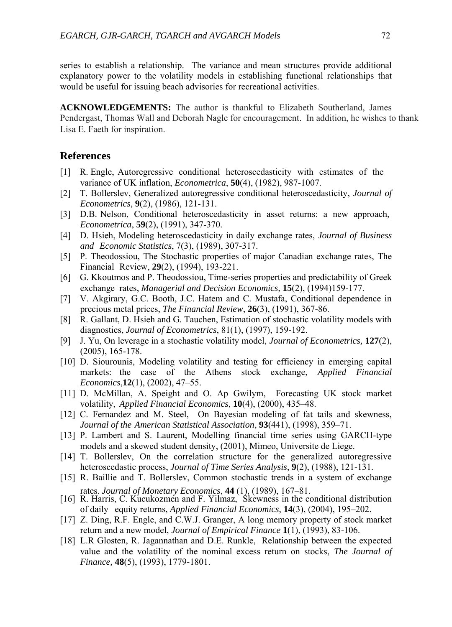series to establish a relationship. The variance and mean structures provide additional explanatory power to the volatility models in establishing functional relationships that would be useful for issuing beach advisories for recreational activities.

**ACKNOWLEDGEMENTS:** The author is thankful to Elizabeth Southerland, James Pendergast, Thomas Wall and Deborah Nagle for encouragement. In addition, he wishes to thank Lisa E. Faeth for inspiration.

## **References**

- [1] R. Engle, Autoregressive conditional heteroscedasticity with estimates of the variance of UK inflation, *Econometrica*, **50**(4), (1982), 987-1007.
- [2] T. Bollerslev, Generalized autoregressive conditional heteroscedasticity, *Journal of Econometrics*, **9**(2), (1986), 121-131.
- [3] D.B. Nelson, Conditional heteroscedasticity in asset returns: a new approach, *Econometrica*, **59**(2), (1991), 347-370.
- [4] D. Hsieh, Modeling heteroscedasticity in daily exchange rates, *Journal of Business and Economic Statistics*, 7(3), (1989), 307-317.
- [5] P. Theodossiou, The Stochastic properties of major Canadian exchange rates, The Financial Review, **29**(2), (1994), 193-221.
- [6] G. Kkoutmos and P. Theodossiou, Time-series properties and predictability of Greek exchange rates, *Managerial and Decision Economics*, **15**(2), (1994)159-177.
- [7] V. Akgirary, G.C. Booth, J.C. Hatem and C. Mustafa, Conditional dependence in precious metal prices, *The Financial Review*, **26**(3), (1991), 367-86.
- [8] R. Gallant, D. Hsieh and G. Tauchen, Estimation of stochastic volatility models with diagnostics, *Journal of Econometrics*, 81(1), (1997), 159-192.
- [9] J. Yu, On leverage in a stochastic volatility model, *Journal of Econometrics,* **127**(2), (2005), 165-178.
- [10] D. Siourounis, Modeling volatility and testing for efficiency in emerging capital markets: the case of the Athens stock exchange, *Applied Financial Economics*,**12**(1), (2002), 47–55.
- [11] D. McMillan, A. Speight and O. Ap Gwilym, Forecasting UK stock market volatility, *Applied Financial Economics*, **10**(4), (2000), 435–48.
- [12] C. Fernandez and M. Steel, On Bayesian modeling of fat tails and skewness, *Journal of the American Statistical Association*, **93**(441), (1998), 359–71.
- [13] P. Lambert and S. Laurent, Modelling financial time series using GARCH-type models and a skewed student density, (2001), Mimeo, Universite de Liege.
- [14] T. Bollerslev, On the correlation structure for the generalized autoregressive heteroscedastic process, *Journal of Time Series Analysis*, **9**(2), (1988), 121-131.
- [15] R. Baillie and T. Bollerslev, Common stochastic trends in a system of exchange rates. *Journal of Monetary Economics*, **44** (1), (1989), 167–81.
- [16] R. Harris, C. Kucukozmen and F. Yilmaz, Skewness in the conditional distribution of daily equity returns, *Applied Financial Economics*, **14**(3), (2004), 195–202.
- [17] Z. Ding, R.F. Engle, and C.W.J. Granger, A long memory property of stock market return and a new model, *Journal of Empirical Finance* **1**(1), (1993), 83-106.
- [18] L.R Glosten, R. Jagannathan and D.E. Runkle, Relationship between the expected value and the volatility of the nominal excess return on stocks, *The Journal of Finance,* **48**(5), (1993), 1779-1801.